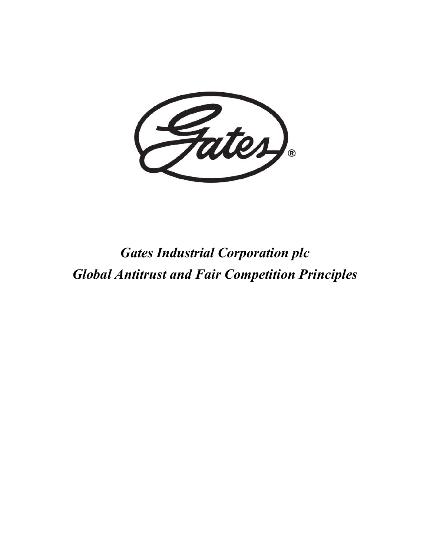

*Gates Industrial Corporation plc Global Antitrust and Fair Competition Principles*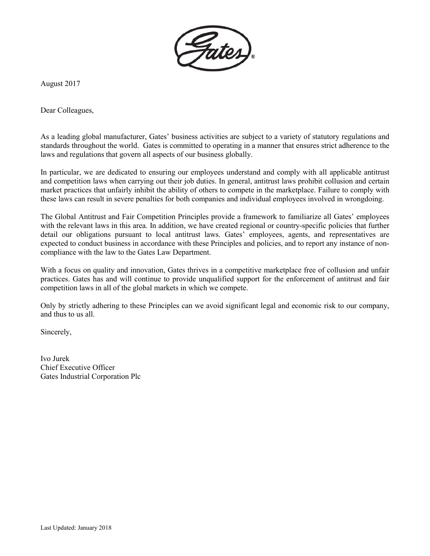

August 2017

Dear Colleagues,

As a leading global manufacturer, Gates' business activities are subject to a variety of statutory regulations and standards throughout the world. Gates is committed to operating in a manner that ensures strict adherence to the laws and regulations that govern all aspects of our business globally.

In particular, we are dedicated to ensuring our employees understand and comply with all applicable antitrust and competition laws when carrying out their job duties. In general, antitrust laws prohibit collusion and certain market practices that unfairly inhibit the ability of others to compete in the marketplace. Failure to comply with these laws can result in severe penalties for both companies and individual employees involved in wrongdoing.

The Global Antitrust and Fair Competition Principles provide a framework to familiarize all Gates' employees with the relevant laws in this area. In addition, we have created regional or country-specific policies that further detail our obligations pursuant to local antitrust laws. Gates' employees, agents, and representatives are expected to conduct business in accordance with these Principles and policies, and to report any instance of noncompliance with the law to the Gates Law Department.

With a focus on quality and innovation, Gates thrives in a competitive marketplace free of collusion and unfair practices. Gates has and will continue to provide unqualified support for the enforcement of antitrust and fair competition laws in all of the global markets in which we compete.

Only by strictly adhering to these Principles can we avoid significant legal and economic risk to our company, and thus to us all.

Sincerely,

Ivo Jurek Chief Executive Officer Gates Industrial Corporation Plc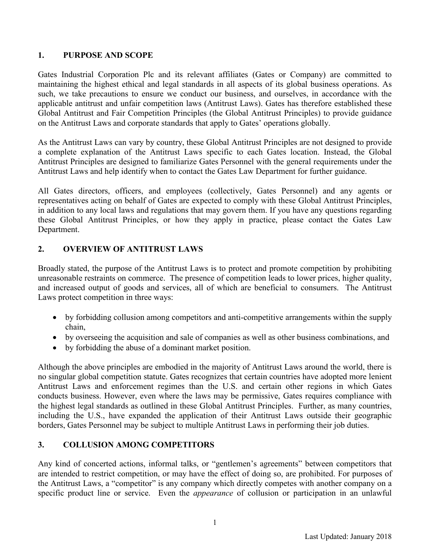#### **1. PURPOSE AND SCOPE**

Gates Industrial Corporation Plc and its relevant affiliates (Gates or Company) are committed to maintaining the highest ethical and legal standards in all aspects of its global business operations. As such, we take precautions to ensure we conduct our business, and ourselves, in accordance with the applicable antitrust and unfair competition laws (Antitrust Laws). Gates has therefore established these Global Antitrust and Fair Competition Principles (the Global Antitrust Principles) to provide guidance on the Antitrust Laws and corporate standards that apply to Gates' operations globally.

As the Antitrust Laws can vary by country, these Global Antitrust Principles are not designed to provide a complete explanation of the Antitrust Laws specific to each Gates location. Instead, the Global Antitrust Principles are designed to familiarize Gates Personnel with the general requirements under the Antitrust Laws and help identify when to contact the Gates Law Department for further guidance.

All Gates directors, officers, and employees (collectively, Gates Personnel) and any agents or representatives acting on behalf of Gates are expected to comply with these Global Antitrust Principles, in addition to any local laws and regulations that may govern them. If you have any questions regarding these Global Antitrust Principles, or how they apply in practice, please contact the Gates Law Department.

### **2. OVERVIEW OF ANTITRUST LAWS**

Broadly stated, the purpose of the Antitrust Laws is to protect and promote competition by prohibiting unreasonable restraints on commerce. The presence of competition leads to lower prices, higher quality, and increased output of goods and services, all of which are beneficial to consumers. The Antitrust Laws protect competition in three ways:

- by forbidding collusion among competitors and anti-competitive arrangements within the supply chain,
- by overseeing the acquisition and sale of companies as well as other business combinations, and
- by forbidding the abuse of a dominant market position.

Although the above principles are embodied in the majority of Antitrust Laws around the world, there is no singular global competition statute. Gates recognizes that certain countries have adopted more lenient Antitrust Laws and enforcement regimes than the U.S. and certain other regions in which Gates conducts business. However, even where the laws may be permissive, Gates requires compliance with the highest legal standards as outlined in these Global Antitrust Principles. Further, as many countries, including the U.S., have expanded the application of their Antitrust Laws outside their geographic borders, Gates Personnel may be subject to multiple Antitrust Laws in performing their job duties.

### **3. COLLUSION AMONG COMPETITORS**

Any kind of concerted actions, informal talks, or "gentlemen's agreements" between competitors that are intended to restrict competition, or may have the effect of doing so, are prohibited. For purposes of the Antitrust Laws, a "competitor" is any company which directly competes with another company on a specific product line or service. Even the *appearance* of collusion or participation in an unlawful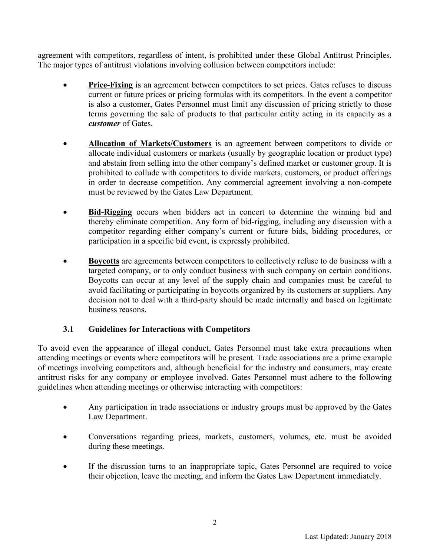agreement with competitors, regardless of intent, is prohibited under these Global Antitrust Principles. The major types of antitrust violations involving collusion between competitors include:

- **Price-Fixing** is an agreement between competitors to set prices. Gates refuses to discuss current or future prices or pricing formulas with its competitors. In the event a competitor is also a customer, Gates Personnel must limit any discussion of pricing strictly to those terms governing the sale of products to that particular entity acting in its capacity as a *customer* of Gates.
- **Allocation of Markets/Customers** is an agreement between competitors to divide or allocate individual customers or markets (usually by geographic location or product type) and abstain from selling into the other company's defined market or customer group. It is prohibited to collude with competitors to divide markets, customers, or product offerings in order to decrease competition. Any commercial agreement involving a non-compete must be reviewed by the Gates Law Department.
- **Bid-Rigging** occurs when bidders act in concert to determine the winning bid and thereby eliminate competition. Any form of bid-rigging, including any discussion with a competitor regarding either company's current or future bids, bidding procedures, or participation in a specific bid event, is expressly prohibited.
- **Boycotts** are agreements between competitors to collectively refuse to do business with a targeted company, or to only conduct business with such company on certain conditions. Boycotts can occur at any level of the supply chain and companies must be careful to avoid facilitating or participating in boycotts organized by its customers or suppliers. Any decision not to deal with a third-party should be made internally and based on legitimate business reasons.

# **3.1 Guidelines for Interactions with Competitors**

To avoid even the appearance of illegal conduct, Gates Personnel must take extra precautions when attending meetings or events where competitors will be present. Trade associations are a prime example of meetings involving competitors and, although beneficial for the industry and consumers, may create antitrust risks for any company or employee involved. Gates Personnel must adhere to the following guidelines when attending meetings or otherwise interacting with competitors:

- Any participation in trade associations or industry groups must be approved by the Gates Law Department.
- Conversations regarding prices, markets, customers, volumes, etc. must be avoided during these meetings.
- If the discussion turns to an inappropriate topic, Gates Personnel are required to voice their objection, leave the meeting, and inform the Gates Law Department immediately.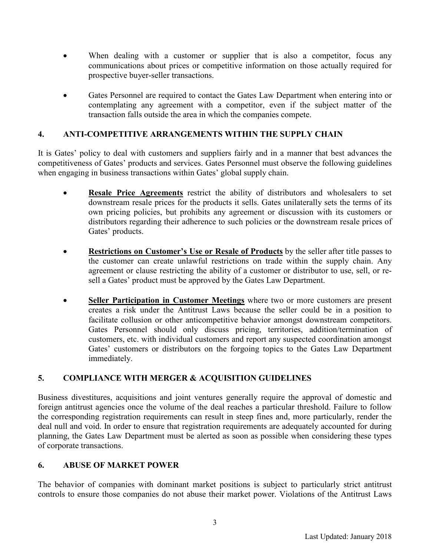- When dealing with a customer or supplier that is also a competitor, focus any communications about prices or competitive information on those actually required for prospective buyer-seller transactions.
- Gates Personnel are required to contact the Gates Law Department when entering into or contemplating any agreement with a competitor, even if the subject matter of the transaction falls outside the area in which the companies compete.

## **4. ANTI-COMPETITIVE ARRANGEMENTS WITHIN THE SUPPLY CHAIN**

It is Gates' policy to deal with customers and suppliers fairly and in a manner that best advances the competitiveness of Gates' products and services. Gates Personnel must observe the following guidelines when engaging in business transactions within Gates' global supply chain.

- **Resale Price Agreements** restrict the ability of distributors and wholesalers to set downstream resale prices for the products it sells. Gates unilaterally sets the terms of its own pricing policies, but prohibits any agreement or discussion with its customers or distributors regarding their adherence to such policies or the downstream resale prices of Gates' products.
- **Restrictions on Customer's Use or Resale of Products** by the seller after title passes to the customer can create unlawful restrictions on trade within the supply chain. Any agreement or clause restricting the ability of a customer or distributor to use, sell, or resell a Gates' product must be approved by the Gates Law Department.
- **Seller Participation in Customer Meetings** where two or more customers are present creates a risk under the Antitrust Laws because the seller could be in a position to facilitate collusion or other anticompetitive behavior amongst downstream competitors. Gates Personnel should only discuss pricing, territories, addition/termination of customers, etc. with individual customers and report any suspected coordination amongst Gates' customers or distributors on the forgoing topics to the Gates Law Department immediately.

### **5. COMPLIANCE WITH MERGER & ACQUISITION GUIDELINES**

Business divestitures, acquisitions and joint ventures generally require the approval of domestic and foreign antitrust agencies once the volume of the deal reaches a particular threshold. Failure to follow the corresponding registration requirements can result in steep fines and, more particularly, render the deal null and void. In order to ensure that registration requirements are adequately accounted for during planning, the Gates Law Department must be alerted as soon as possible when considering these types of corporate transactions.

### **6. ABUSE OF MARKET POWER**

The behavior of companies with dominant market positions is subject to particularly strict antitrust controls to ensure those companies do not abuse their market power. Violations of the Antitrust Laws